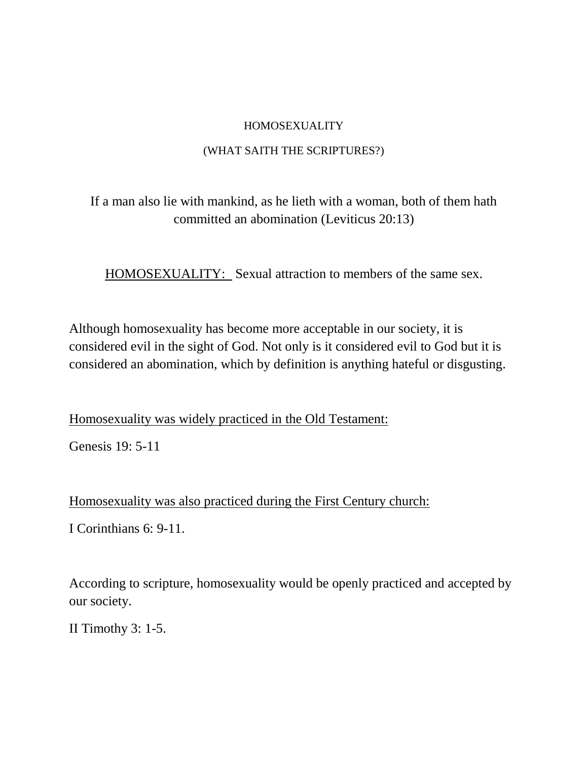## HOMOSEXUALITY

## (WHAT SAITH THE SCRIPTURES?)

## If a man also lie with mankind, as he lieth with a woman, both of them hath committed an abomination (Leviticus 20:13)

HOMOSEXUALITY: Sexual attraction to members of the same sex.

Although homosexuality has become more acceptable in our society, it is considered evil in the sight of God. Not only is it considered evil to God but it is considered an abomination, which by definition is anything hateful or disgusting.

Homosexuality was widely practiced in the Old Testament:

Genesis 19: 5-11

Homosexuality was also practiced during the First Century church:

I Corinthians 6: 9-11.

According to scripture, homosexuality would be openly practiced and accepted by our society.

II Timothy 3: 1-5.